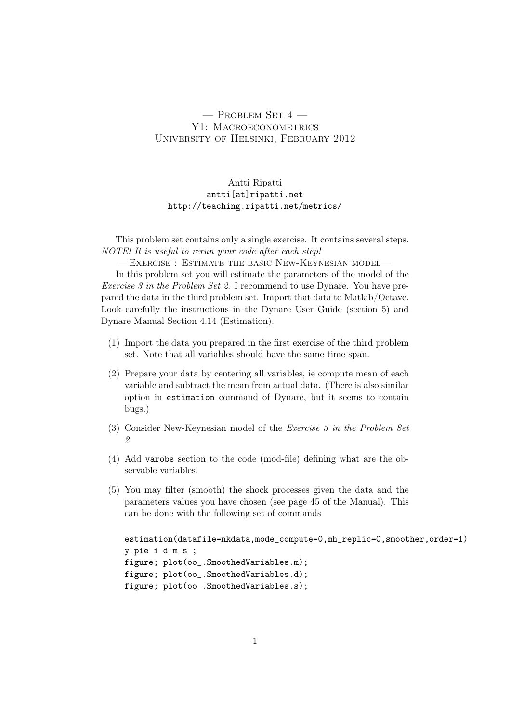## $-$  Problem Set 4  $-$ Y1: MACROECONOMETRICS University of Helsinki, February 2012

## Antti Ripatti antti[at]ripatti.net http://teaching.ripatti.net/metrics/

This problem set contains only a single exercise. It contains several steps. NOTE! It is useful to rerun your code after each step!

—Exercise : Estimate the basic New-Keynesian model—

In this problem set you will estimate the parameters of the model of the Exercise 3 in the Problem Set 2. I recommend to use Dynare. You have prepared the data in the third problem set. Import that data to Matlab/Octave. Look carefully the instructions in the Dynare User Guide (section 5) and Dynare Manual Section 4.14 (Estimation).

- (1) Import the data you prepared in the first exercise of the third problem set. Note that all variables should have the same time span.
- (2) Prepare your data by centering all variables, ie compute mean of each variable and subtract the mean from actual data. (There is also similar option in estimation command of Dynare, but it seems to contain bugs.)
- (3) Consider New-Keynesian model of the Exercise 3 in the Problem Set 2.
- (4) Add varobs section to the code (mod-file) defining what are the observable variables.
- (5) You may filter (smooth) the shock processes given the data and the parameters values you have chosen (see page 45 of the Manual). This can be done with the following set of commands

```
estimation(datafile=nkdata,mode_compute=0,mh_replic=0,smoother,order=1)
y pie i d m s ;
figure; plot(oo_.SmoothedVariables.m);
figure; plot(oo_.SmoothedVariables.d);
figure; plot(oo_.SmoothedVariables.s);
```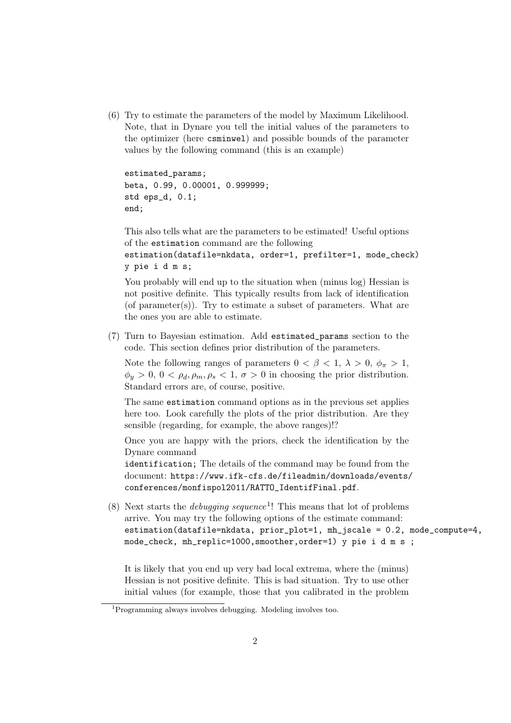(6) Try to estimate the parameters of the model by Maximum Likelihood. Note, that in Dynare you tell the initial values of the parameters to the optimizer (here csminwel) and possible bounds of the parameter values by the following command (this is an example)

estimated\_params; beta, 0.99, 0.00001, 0.999999; std eps\_d, 0.1; end;

This also tells what are the parameters to be estimated! Useful options of the estimation command are the following

```
estimation(datafile=nkdata, order=1, prefilter=1, mode_check)
y pie i d m s;
```
You probably will end up to the situation when (minus log) Hessian is not positive definite. This typically results from lack of identification (of parameter(s)). Try to estimate a subset of parameters. What are the ones you are able to estimate.

(7) Turn to Bayesian estimation. Add estimated\_params section to the code. This section defines prior distribution of the parameters.

Note the following ranges of parameters  $0 < \beta < 1$ ,  $\lambda > 0$ ,  $\phi_{\pi} > 1$ ,  $\phi_u > 0, 0 < \rho_d, \rho_m, \rho_s < 1, \sigma > 0$  in choosing the prior distribution. Standard errors are, of course, positive.

The same estimation command options as in the previous set applies here too. Look carefully the plots of the prior distribution. Are they sensible (regarding, for example, the above ranges)!?

Once you are happy with the priors, check the identification by the Dynare command

identification; The details of the command may be found from the document: https://www.ifk-cfs.de/fileadmin/downloads/events/ conferences/monfispol2011/RATTO\_IdentifFinal.pdf.

(8) Next starts the *debugging sequence*<sup>1</sup>! This means that lot of problems arrive. You may try the following options of the estimate command: estimation(datafile=nkdata, prior\_plot=1, mh\_jscale = 0.2, mode\_compute=4, mode\_check, mh\_replic=1000,smoother,order=1) y pie i d m s ;

It is likely that you end up very bad local extrema, where the (minus) Hessian is not positive definite. This is bad situation. Try to use other initial values (for example, those that you calibrated in the problem

 $1^1$ Programming always involves debugging. Modeling involves too.